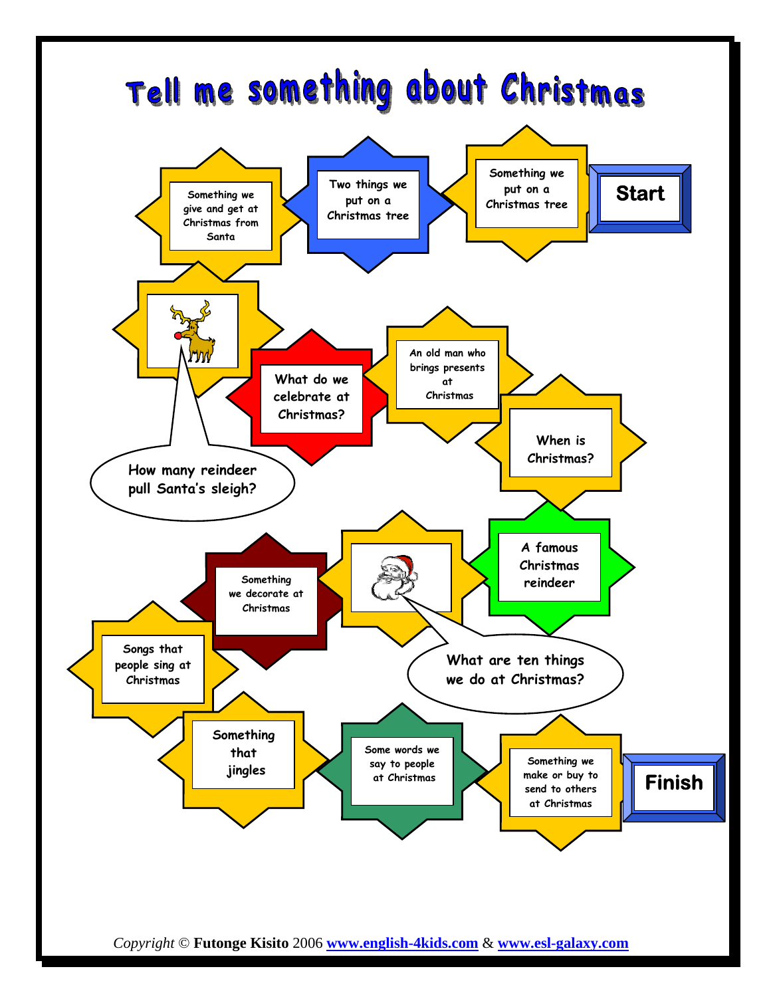

*Copyright* © **Futonge Kisito** 2006 **www.english-4kids.com** & **www.esl-galaxy.com**